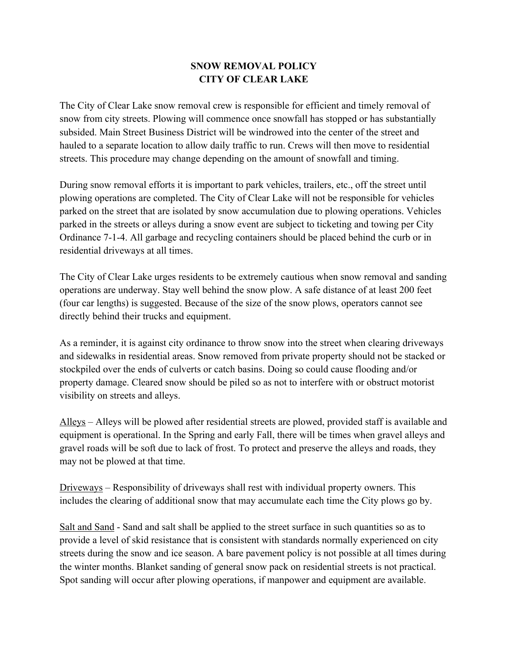## **SNOW REMOVAL POLICY CITY OF CLEAR LAKE**

The City of Clear Lake snow removal crew is responsible for efficient and timely removal of snow from city streets. Plowing will commence once snowfall has stopped or has substantially subsided. Main Street Business District will be windrowed into the center of the street and hauled to a separate location to allow daily traffic to run. Crews will then move to residential streets. This procedure may change depending on the amount of snowfall and timing.

During snow removal efforts it is important to park vehicles, trailers, etc., off the street until plowing operations are completed. The City of Clear Lake will not be responsible for vehicles parked on the street that are isolated by snow accumulation due to plowing operations. Vehicles parked in the streets or alleys during a snow event are subject to ticketing and towing per City Ordinance 7-1-4. All garbage and recycling containers should be placed behind the curb or in residential driveways at all times.

The City of Clear Lake urges residents to be extremely cautious when snow removal and sanding operations are underway. Stay well behind the snow plow. A safe distance of at least 200 feet (four car lengths) is suggested. Because of the size of the snow plows, operators cannot see directly behind their trucks and equipment.

As a reminder, it is against city ordinance to throw snow into the street when clearing driveways and sidewalks in residential areas. Snow removed from private property should not be stacked or stockpiled over the ends of culverts or catch basins. Doing so could cause flooding and/or property damage. Cleared snow should be piled so as not to interfere with or obstruct motorist visibility on streets and alleys.

Alleys – Alleys will be plowed after residential streets are plowed, provided staff is available and equipment is operational. In the Spring and early Fall, there will be times when gravel alleys and gravel roads will be soft due to lack of frost. To protect and preserve the alleys and roads, they may not be plowed at that time.

Driveways – Responsibility of driveways shall rest with individual property owners. This includes the clearing of additional snow that may accumulate each time the City plows go by.

Salt and Sand - Sand and salt shall be applied to the street surface in such quantities so as to provide a level of skid resistance that is consistent with standards normally experienced on city streets during the snow and ice season. A bare pavement policy is not possible at all times during the winter months. Blanket sanding of general snow pack on residential streets is not practical. Spot sanding will occur after plowing operations, if manpower and equipment are available.